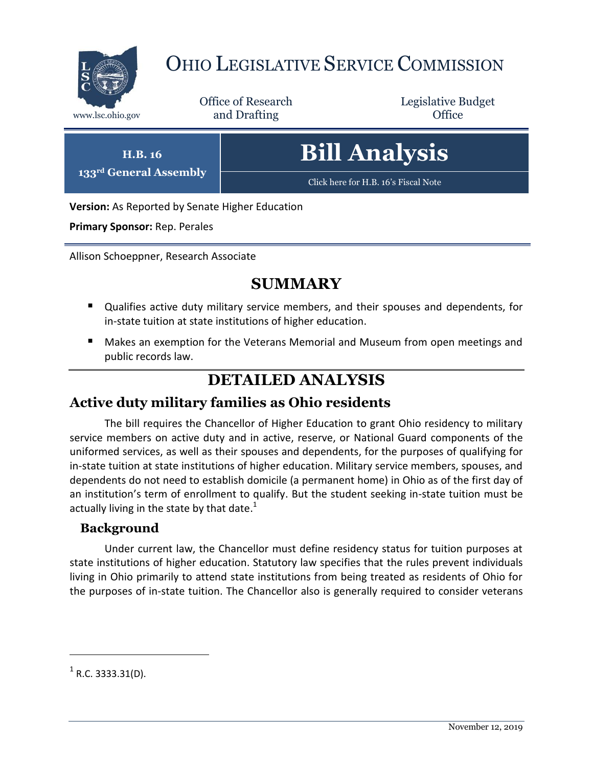

# OHIO LEGISLATIVE SERVICE COMMISSION

Office of Research www.lsc.ohio.gov and Drafting Control Control of Control Control Office

Legislative Budget

**H.B. 16 133rd General Assembly** **Bill Analysis**

[Click here for H.B. 16](https://www.legislature.ohio.gov/legislation/legislation-documents?id=GA133-HB-16)'s Fiscal Note

**Version:** As Reported by Senate Higher Education

**Primary Sponsor:** Rep. Perales

Allison Schoeppner, Research Associate

## **SUMMARY**

- Qualifies active duty military service members, and their spouses and dependents, for in-state tuition at state institutions of higher education.
- Makes an exemption for the Veterans Memorial and Museum from open meetings and public records law.

## **DETAILED ANALYSIS**

#### **Active duty military families as Ohio residents**

The bill requires the Chancellor of Higher Education to grant Ohio residency to military service members on active duty and in active, reserve, or National Guard components of the uniformed services, as well as their spouses and dependents, for the purposes of qualifying for in-state tuition at state institutions of higher education. Military service members, spouses, and dependents do not need to establish domicile (a permanent home) in Ohio as of the first day of an institution's term of enrollment to qualify. But the student seeking in-state tuition must be actually living in the state by that date.<sup>1</sup>

#### **Background**

Under current law, the Chancellor must define residency status for tuition purposes at state institutions of higher education. Statutory law specifies that the rules prevent individuals living in Ohio primarily to attend state institutions from being treated as residents of Ohio for the purposes of in-state tuition. The Chancellor also is generally required to consider veterans

 $\overline{a}$ 

 $<sup>1</sup>$  R.C. 3333.31(D).</sup>